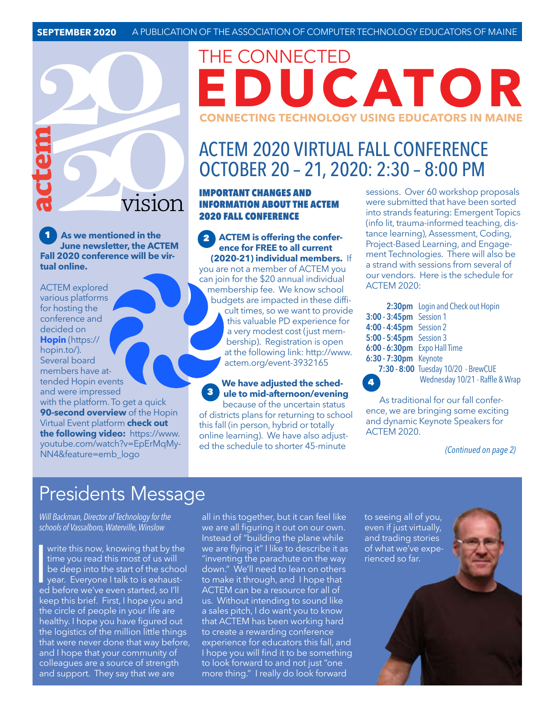**As we mentioned in the**  1 2 **June newsletter, the ACTEM Fall 2020 conference will be vir-**

**V1S10N** 

**tual online.**

ACTEM explored various platforms for hosting the conference and decided on **Hopin** (https:// hopin.to/). Several board members have attended Hopin events and were impressed with the platform. To get a quick **90-second overview** of the Hopin Virtual Event platform **check out the following video:** [https://www.](https://www.youtube.com/watch?v=EpErMqMyNN4&feature=emb_logo) [youtube.com/watch?v=EpErMqMy-](https://www.youtube.com/watch?v=EpErMqMyNN4&feature=emb_logo)[NN4&feature=emb\\_logo](https://www.youtube.com/watch?v=EpErMqMyNN4&feature=emb_logo)

## THE CONNECTED **EDUCATOR CONNECTING TECHNOLOGY USING EDUCATORS IN MAINE**

### ACTEM 2020 VIRTUAL FALL CONFERENCE OCTOBER 20 – 21, 2020: 2:30 – 8:00 PM

#### IMPORTANT CHANGES AND INFORMATION ABOUT THE ACTEM 2020 FALL CONFERENCE

**ACTEM is offering the conference for FREE to all current (2020-21) individual members.** If you are not a member of ACTEM you can join for the \$20 annual individual membership fee. We know school budgets are impacted in these difficult times, so we want to provide this valuable PD experience for a very modest cost (just membership). Registration is open at the following link: [http://www.](http://www.actem.org/event-3932165) [actem.org/event-3932165](http://www.actem.org/event-3932165)

#### **We have adjusted the schedule to mid-afternoon/evening**  because of the uncertain status 3

of districts plans for returning to school this fall (in person, hybrid or totally online learning). We have also adjusted the schedule to shorter 45-minute

sessions. Over 60 workshop proposals were submitted that have been sorted into strands featuring: Emergent Topics (info lit, trauma-informed teaching, distance learning), Assessment, Coding, Project-Based Learning, and Engagement Technologies. There will also be a strand with sessions from several of our vendors. Here is the schedule for ACTEM 2020:

|                              | 2:30pm Login and Check out Hopin    |
|------------------------------|-------------------------------------|
| 3:00 - 3:45pm Session 1      |                                     |
| 4:00 - 4:45pm Session 2      |                                     |
| 5:00 - 5:45pm Session 3      |                                     |
| 6:00 - 6:30pm Expo Hall Time |                                     |
| 6:30 - 7:30pm Keynote        |                                     |
|                              | 7:30 - 8:00 Tuesday 10/20 - BrewCUE |
|                              | Wednesday 10/21 - Raffle & Wrap     |

As traditional for our fall conference, we are bringing some exciting and dynamic Keynote Speakers for ACTEM 2020.

*(Continued on page 2)*

## Presidents Message

*Will Backman, Director of Technology for the schools of Vassalboro, Waterville, Winslow* 

write this now, knowing that by the time you read this most of us will<br>be deep into the start of the school<br>year. Everyone I talk to is exhaust-<br>ed before we've even started, so I'll write this now, knowing that by the time you read this most of us will be deep into the start of the school year. Everyone I talk to is exhaustkeep this brief. First, I hope you and the circle of people in your life are healthy. I hope you have figured out the logistics of the million little things that were never done that way before, and I hope that your community of colleagues are a source of strength and support. They say that we are

all in this together, but it can feel like we are all figuring it out on our own. Instead of "building the plane while we are flying it" I like to describe it as "inventing the parachute on the way down." We'll need to lean on others to make it through, and I hope that ACTEM can be a resource for all of us. Without intending to sound like a sales pitch, I do want you to know that ACTEM has been working hard to create a rewarding conference experience for educators this fall, and I hope you will find it to be something to look forward to and not just "one more thing." I really do look forward

to seeing all of you, even if just virtually, and trading stories of what we've experienced so far.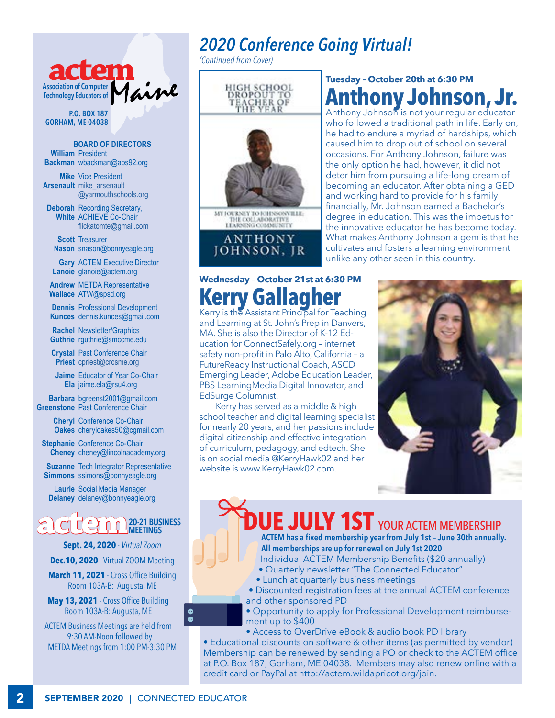

**P.O. BOX 187 GORHAM, ME 04038**

**BOARD OF DIRECTORS William** President **Backman** [wbackman@aos92.org](mailto:wbackman%40aos92.org%20?subject=)

**Mike** Vice President **Arsenault** [mike\\_arsenault](mailto:mike_arsenault%40%20%20%20yarmouthschools.org?subject=)  [@yarmouthschools.org](mailto:mike_arsenault%40%20%20%20yarmouthschools.org?subject=)

**Deborah** Recording Secretary, **White** ACHIEVE Co-Chair [flickatomte@gmail.com](mailto:flickatomte%40gmail.com?subject=)

**Scott** Treasurer **Nason** snason@bonnyeagle.org

**Gary** ACTEM Executive Director **Lanoie** [glanoie@actem.org](mailto:glanoie%40actem.org?subject=)

**Andrew** METDA Representative **Wallace** ATW@spsd.org

**Dennis** Professional Development **Kunces** [dennis.kunces@gmail.com](mailto:dennis.kunces%40gmail.com?subject=)

**Rachel** Newsletter/Graphics **Guthrie** [rguthrie@smccme.edu](mailto:rguthrie%40smccme.edu?subject=)

**Crystal** Past Conference Chair **Priest** [cpriest@crcsme.org](mailto:cpriest%40crcsme.org?subject=)

**Jaime** Educator of Year Co-Chair **Ela** [jaime.ela@rsu4.org](mailto:jaime.ela%40rsu4.org?subject=)

**Barbara** [bgreenst2001@gmail.com](mailto:bgreenst2001%40gmail.com?subject=) **Greenstone** Past Conference Chair

> **Cheryl** Conference Co-Chair **Oakes** [cheryloakes50@cgmail.com](mailto:cheryloakes50%40cgmail.com%20?subject=)

**Stephanie** Conference Co-Chair **Cheney** cheney@lincolnacademy.org

**Suzanne** Tech Integrator Representative **Simmons** ssimons@bonnyeagle.org

**Laurie** Social Media Manager **Delaney** delaney@bonnyeagle.org

**actem 20-21 BUSINESS MEETINGS** 

**Sept. 24, 2020** - *Virtual Zoom*

**Dec.10, 2020** - Virtual ZOOM Meeting

**March 11, 2021** - Cross Office Building Room 103A-B: Augusta, ME

**May 13, 2021** - Cross Office Building Room 103A-B: Augusta, ME

ACTEM Business Meetings are held from 9:30 AM-Noon followed by METDA Meetings from 1:00 PM-3:30 PM

## *2020 Conference Going Virtual!*

*(Continued from Cover)*



### **Tuesday – October 20th at 6:30 PM Anthony Johnson, Jr.**

Anthony Johnson is not your regular educator who followed a traditional path in life. Early on, he had to endure a myriad of hardships, which caused him to drop out of school on several occasions. For Anthony Johnson, failure was the only option he had, however, it did not deter him from pursuing a life-long dream of becoming an educator. After obtaining a GED and working hard to provide for his family financially, Mr. Johnson earned a Bachelor's degree in education. This was the impetus for the innovative educator he has become today. What makes Anthony Johnson a gem is that he cultivates and fosters a learning environment unlike any other seen in this country.

### **Wednesday – October 21st at 6:30 PM Kerry Gallagher**

Kerry is the Assistant Principal for Teaching and Learning at St. John's Prep in Danvers, MA. She is also the Director of K-12 Education for ConnectSafely.org – internet safety non-profit in Palo Alto, California – a FutureReady Instructional Coach, ASCD Emerging Leader, Adobe Education Leader, PBS LearningMedia Digital Innovator, and EdSurge Columnist.

Kerry has served as a middle & high school teacher and digital learning specialist for nearly 20 years, and her passions include digital citizenship and effective integration of curriculum, pedagogy, and edtech. She is on social media @KerryHawk02 and her website is www.KerryHawk02.com.



**DUE JULY 1ST** YOUR ACTEM MEMBERSHIP **ACTEM has a fixed membership year from July 1st – June 30th annually.** 

**All memberships are up for renewal on July 1st 2020** 

- Individual ACTEM Membership Benefits (\$20 annually)
- Quarterly newsletter "The Connected Educator"
- Lunch at quarterly business meetings
- Discounted registration fees at the annual ACTEM conference and other sponsored PD
- Opportunity to apply for Professional Development reimbursement up to \$400

• Access to OverDrive eBook & audio book PD library

• Educational discounts on software & other items (as permitted by vendor) Membership can be renewed by sending a PO or check to the ACTEM office at P.O. Box 187, Gorham, ME 04038. Members may also renew online with a credit card or PayPal at http://actem.wildapricot.org/join.

 $\bullet$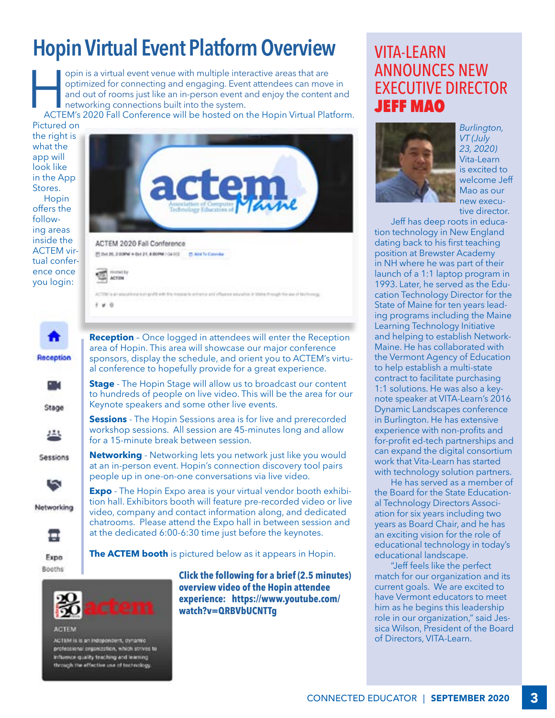## **Hopin Virtual Event Platform Overview**

opin is a virtual event venue with multiple interactive areas that are optimized for connecting and engaging. Event attendees can move in and out of rooms just like an in-person event and enjoy the content and networking c optimized for connecting and engaging. Event attendees can move in and out of rooms just like an in-person event and enjoy the content and networking connections built into the system.

Pictured on

the right is what the app will look like in the App Stores. Hopin offers the following areas inside the ACTEM virtual conference once you login:

Stage

丛

≖

Expo Booths



**ACTEM** 

ACTEM is is an independent, dynamic professional organization, which strives to influence quality teaching and learning through the effective use of technology

**Click the following for a brief (2.5 minutes) overview video of the Hopin attendee experience: [https://www.youtube.com/](https://www.youtube.com/watch?v=QRBVbUCNTTg
) [watch?v=QRBVbUCNTTg](https://www.youtube.com/watch?v=QRBVbUCNTTg
)**

### VITA-LEARN ANNOUNCES NEW EXECUTIVE DIRECTOR JEFF MAO



*Burlington, VT (July 23, 2020)*  Vita-Learn is excited to welcome Jeff Mao as our new executive director.

Jeff has deep roots in education technology in New England dating back to his first teaching position at Brewster Academy in NH where he was part of their launch of a 1:1 laptop program in 1993. Later, he served as the Education Technology Director for the State of Maine for ten years leading programs including the Maine Learning Technology Initiative and helping to establish Network-Maine. He has collaborated with the Vermont Agency of Education to help establish a multi-state contract to facilitate purchasing 1:1 solutions. He was also a keynote speaker at VITA-Learn's 2016 Dynamic Landscapes conference in Burlington. He has extensive experience with non-profits and for-profit ed-tech partnerships and can expand the digital consortium work that Vita-Learn has started with technology solution partners.

He has served as a member of the Board for the State Educational Technology Directors Association for six years including two years as Board Chair, and he has an exciting vision for the role of educational technology in today's educational landscape.

"Jeff feels like the perfect match for our organization and its current goals. We are excited to have Vermont educators to meet him as he begins this leadership role in our organization," said Jessica Wilson, President of the Board of Directors, VITA-Learn.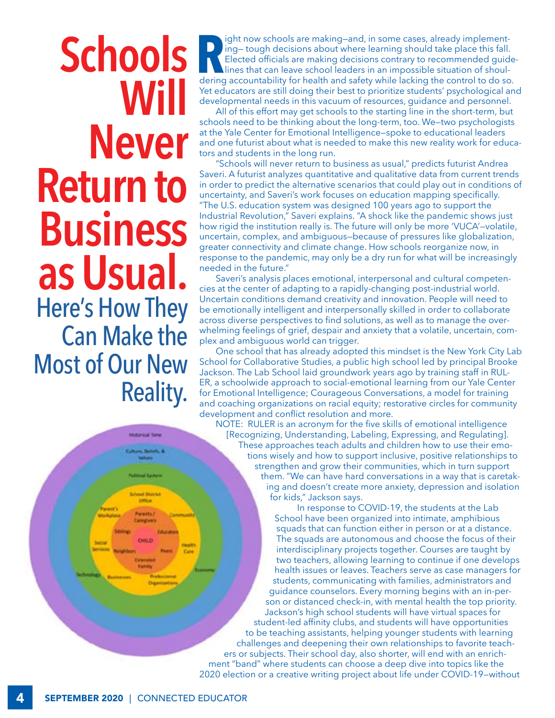# **Schools Will Never Return to Business as Usual.** Here's How They Can Make the Most of Our New Reality.

**R**<br>derino ight now schools are making—and, in some cases, already implementing— tough decisions about where learning should take place this fall. Elected officials are making decisions contrary to recommended guidelines that can leave school leaders in an impossible situation of shouldering accountability for health and safety while lacking the control to do so. Yet educators are still doing their best to prioritize students' psychological and developmental needs in this vacuum of resources, guidance and personnel.

All of this effort may get schools to the starting line in the short-term, but schools need to be thinking about the long-term, too. We—two psychologists at the Yale Center for Emotional Intelligence—spoke to educational leaders and one futurist about what is needed to make this new reality work for educators and students in the long run.

"Schools will never return to business as usual," predicts futurist Andrea Saveri. A futurist analyzes quantitative and qualitative data from current trends in order to predict the alternative scenarios that could play out in conditions of uncertainty, and Saveri's work focuses on education mapping specifically. "The U.S. education system was designed 100 years ago to support the Industrial Revolution," Saveri explains. "A shock like the pandemic shows just how rigid the institution really is. The future will only be more 'VUCA'—volatile, uncertain, complex, and ambiguous—because of pressures like globalization, greater connectivity and climate change. How schools reorganize now, in response to the pandemic, may only be a dry run for what will be increasingly needed in the future."

Saveri's analysis places emotional, interpersonal and cultural competencies at the center of adapting to a rapidly-changing post-industrial world. Uncertain conditions demand creativity and innovation. People will need to be emotionally intelligent and interpersonally skilled in order to collaborate across diverse perspectives to find solutions, as well as to manage the overwhelming feelings of grief, despair and anxiety that a volatile, uncertain, complex and ambiguous world can trigger.

One school that has already adopted this mindset is the New York City Lab School for Collaborative Studies, a public high school led by principal Brooke Jackson. The Lab School laid groundwork years ago by training staff in RUL-ER, a schoolwide approach to social-emotional learning from our Yale Center for Emotional Intelligence; Courageous Conversations, a model for training and coaching organizations on racial equity; restorative circles for community development and conflict resolution and more.

NOTE: RULER is an acronym for the five skills of emotional intelligence [Recognizing, Understanding, Labeling, Expressing, and Regulating]. These approaches teach adults and children how to use their emotions wisely and how to support inclusive, positive relationships to strengthen and grow their communities, which in turn support them. "We can have hard conversations in a way that is caretaking and doesn't create more anxiety, depression and isolation for kids," Jackson says.

In response to COVID-19, the students at the Lab School have been organized into intimate, amphibious squads that can function either in person or at a distance. The squads are autonomous and choose the focus of their interdisciplinary projects together. Courses are taught by two teachers, allowing learning to continue if one develops health issues or leaves. Teachers serve as case managers for students, communicating with families, administrators and guidance counselors. Every morning begins with an in-person or distanced check-in, with mental health the top priority. Jackson's high school students will have virtual spaces for student-led affinity clubs, and students will have opportunities to be teaching assistants, helping younger students with learning challenges and deepening their own relationships to favorite teachers or subjects. Their school day, also shorter, will end with an enrichment "band" where students can choose a deep dive into topics like the 2020 election or a creative writing project about life under COVID-19—without

**Historical Ten**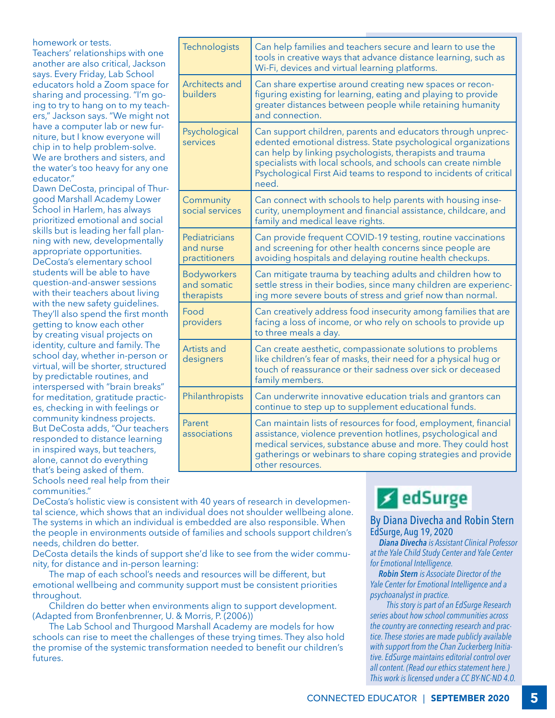homework or tests. Teachers' relationships with one another are also critical, Jackson says. Every Friday, Lab School educators hold a Zoom space for sharing and processing. "I'm going to try to hang on to my teachers," Jackson says. "We might not have a computer lab or new furniture, but I know everyone will chip in to help problem-solve. We are brothers and sisters, and the water's too heavy for any one educator."

Dawn DeCosta, principal of Thurgood Marshall Academy Lower School in Harlem, has always prioritized emotional and social skills but is leading her fall planning with new, developmentally appropriate opportunities. DeCosta's elementary school students will be able to have question-and-answer sessions with their teachers about living with the new safety quidelines. They'll also spend the first month getting to know each other by creating visual projects on identity, culture and family. The school day, whether in-person or virtual, will be shorter, structured by predictable routines, and interspersed with "brain breaks" for meditation, gratitude practices, checking in with feelings or community kindness projects. But DeCosta adds, "Our teachers responded to distance learning in inspired ways, but teachers, alone, cannot do everything that's being asked of them. Schools need real help from their

communities."

| Technologists                                   | Can help families and teachers secure and learn to use the<br>tools in creative ways that advance distance learning, such as<br>Wi-Fi, devices and virtual learning platforms.                                                                                                                                                          |
|-------------------------------------------------|-----------------------------------------------------------------------------------------------------------------------------------------------------------------------------------------------------------------------------------------------------------------------------------------------------------------------------------------|
| Architects and<br>builders                      | Can share expertise around creating new spaces or recon-<br>figuring existing for learning, eating and playing to provide<br>greater distances between people while retaining humanity<br>and connection.                                                                                                                               |
| Psychological<br>services                       | Can support children, parents and educators through unprec-<br>edented emotional distress. State psychological organizations<br>can help by linking psychologists, therapists and trauma<br>specialists with local schools, and schools can create nimble<br>Psychological First Aid teams to respond to incidents of critical<br>need. |
| Community<br>social services                    | Can connect with schools to help parents with housing inse-<br>curity, unemployment and financial assistance, childcare, and<br>family and medical leave rights.                                                                                                                                                                        |
| Pediatricians<br>and nurse<br>practitioners     | Can provide frequent COVID-19 testing, routine vaccinations<br>and screening for other health concerns since people are<br>avoiding hospitals and delaying routine health checkups.                                                                                                                                                     |
| <b>Bodyworkers</b><br>and somatic<br>therapists | Can mitigate trauma by teaching adults and children how to<br>settle stress in their bodies, since many children are experienc-<br>ing more severe bouts of stress and grief now than normal.                                                                                                                                           |
| Food<br>providers                               | Can creatively address food insecurity among families that are<br>facing a loss of income, or who rely on schools to provide up<br>to three meals a day.                                                                                                                                                                                |
| Artists and<br>designers                        | Can create aesthetic, compassionate solutions to problems<br>like children's fear of masks, their need for a physical hug or<br>touch of reassurance or their sadness over sick or deceased<br>family members.                                                                                                                          |
| Philanthropists                                 | Can underwrite innovative education trials and grantors can<br>continue to step up to supplement educational funds.                                                                                                                                                                                                                     |
| Parent<br>associations                          | Can maintain lists of resources for food, employment, financial<br>assistance, violence prevention hotlines, psychological and<br>medical services, substance abuse and more. They could host<br>gatherings or webinars to share coping strategies and provide<br>other resources.                                                      |

DeCosta's holistic view is consistent with 40 years of research in developmental science, which shows that an individual does not shoulder wellbeing alone. The systems in which an individual is embedded are also responsible. When the people in environments outside of families and schools support children's needs, children do better.

DeCosta details the kinds of support she'd like to see from the wider community, for distance and in-person learning:

The map of each school's needs and resources will be different, but emotional wellbeing and community support must be consistent priorities throughout.

Children do better when environments align to support development. (Adapted from Bronfenbrenner, U. & Morris, P. (2006))

The Lab School and Thurgood Marshall Academy are models for how schools can rise to meet the challenges of these trying times. They also hold the promise of the systemic transformation needed to benefit our children's futures.

## **∠**edSurge

#### By Diana Divecha and Robin Stern EdSurge, Aug 19, 2020

 *Diana Divecha is Assistant Clinical Professor at the Yale Child Study Center and Yale Center for Emotional Intelligence.*

 *Robin Stern is Associate Director of the Yale Center for Emotional Intelligence and a psychoanalyst in practice.*

*This story is part of an EdSurge Research series about how school communities across the country are connecting research and practice. These stories are made publicly available with support from the Chan Zuckerberg Initiative. EdSurge maintains editorial control over all content. (Read our ethics statement here.) This work is licensed under a CC BY-NC-ND 4.0.*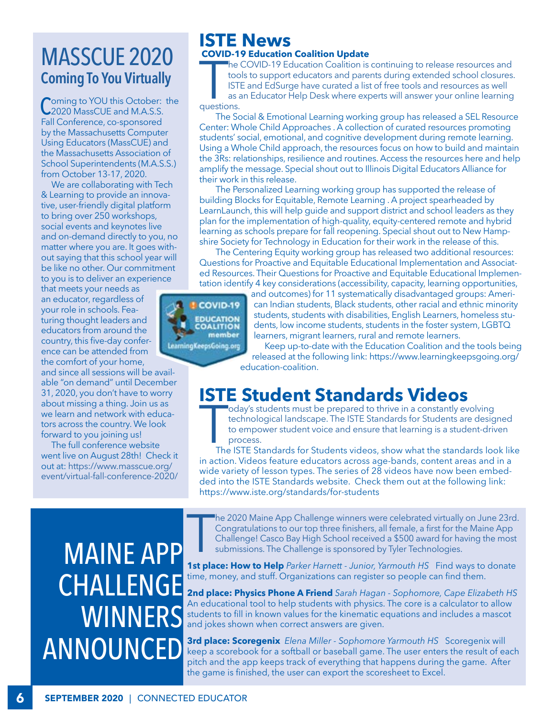## MASSCUE 2020 **Coming To You Virtually**

Coming to YOU this October: the 2020 MassCUE and M.A.S.S. Fall Conference, co-sponsored by the Massachusetts Computer Using Educators (MassCUE) and the Massachusetts Association of School Superintendents (M.A.S.S.) from October 13-17, 2020.

We are collaborating with Tech & Learning to provide an innovative, user-friendly digital platform to bring over 250 workshops, social events and keynotes live and on-demand directly to you, no matter where you are. It goes without saying that this school year will be like no other. Our commitment to you is to deliver an experience

that meets your needs as an educator, regardless of your role in schools. Featuring thought leaders and educators from around the country, this five-day conference can be attended from the comfort of your home, and since all sessions will be available "on demand" until December 31, 2020, you don't have to worry about missing a thing. Join us as we learn and network with educators across the country. We look forward to you joining us!

 The full conference website went live on August 28th! Check it out at: [https://www.masscue.org/](https://www.masscue.org/event/virtual-fall-conference-2020/) [event/virtual-fall-conference-2020/](https://www.masscue.org/event/virtual-fall-conference-2020/)

### **ISTE News COVID-19 Education Coalition Update**

The<br>
toc<br>
IST<br>
as a<br>
questions. he COVID-19 Education Coalition is continuing to release resources and tools to support educators and parents during extended school closures. ISTE and EdSurge have curated a list of free tools and resources as well as an Educator Help Desk where experts will answer your online learning

The Social & Emotional Learning working group has released a SEL Resource Center: Whole Child Approaches . A collection of curated resources promoting students' social, emotional, and cognitive development during remote learning. Using a Whole Child approach, the resources focus on how to build and maintain the 3Rs: relationships, resilience and routines. Access the resources here and help amplify the message. Special shout out to Illinois Digital Educators Alliance for their work in this release.

The Personalized Learning working group has supported the release of building Blocks for Equitable, Remote Learning . A project spearheaded by LearnLaunch, this will help guide and support district and school leaders as they plan for the implementation of high-quality, equity-centered remote and hybrid learning as schools prepare for fall reopening. Special shout out to New Hampshire Society for Technology in Education for their work in the release of this.

The Centering Equity working group has released two additional resources: Questions for Proactive and Equitable Educational Implementation and Associated Resources. Their Questions for Proactive and Equitable Educational Implementation identify 4 key considerations (accessibility, capacity, learning opportunities,

**COVID-19 EDUCATION**<br>COALITION member LearningKeepsGoing.org

and outcomes) for 11 systematically disadvantaged groups: American Indian students, Black students, other racial and ethnic minority students, students with disabilities, English Learners, homeless students, low income students, students in the foster system, LGBTQ learners, migrant learners, rural and remote learners.

Keep up-to-date with the Education Coalition and the tools being released at the following link: https://www.learningkeepsgoing.org/ education-coalition.

### **ISTE Student Standards Videos**

oday's students must be prepared to thrive in a constantly evolving technological landscape. The ISTE Standards for Students are designed to empower student voice and ensure that learning is a student-driven process.

 $\begin{array}{c} \hline \ \hline \ \hline \end{array}$ The ISTE Standards for Students videos, show what the standards look like in action. Videos feature educators across age-bands, content areas and in a wide variety of lesson types. The series of 28 videos have now been embedded into the ISTE Standards website. Check them out at the following link: https://www.iste.org/standards/for-students

 $\prod_{\text{data}}$ he 2020 Maine App Challenge winners were celebrated virtually on June 23rd. Congratulations to our top three finishers, all female, a first for the Maine App Challenge! Casco Bay High School received a \$500 award for having the most submissions. The Challenge is sponsored by Tyler Technologies.

**1st place: How to Help** *Parker Harnett - Junior, Yarmouth HS* Find ways to donate time, money, and stuff. Organizations can register so people can find them.

**2nd place: Physics Phone A Friend** *Sarah Hagan - Sophomore, Cape Elizabeth HS*  An educational tool to help students with physics. The core is a calculator to allow students to fill in known values for the kinematic equations and includes a mascot and jokes shown when correct answers are given.

**3rd place: Scoregenix** *Elena Miller - Sophomore Yarmouth HS* Scoregenix will keep a scorebook for a softball or baseball game. The user enters the result of each pitch and the app keeps track of everything that happens during the game. After the game is finished, the user can export the scoresheet to Excel.

## MAINE APP **CHALLENGE WINNERS** ANNOUNCED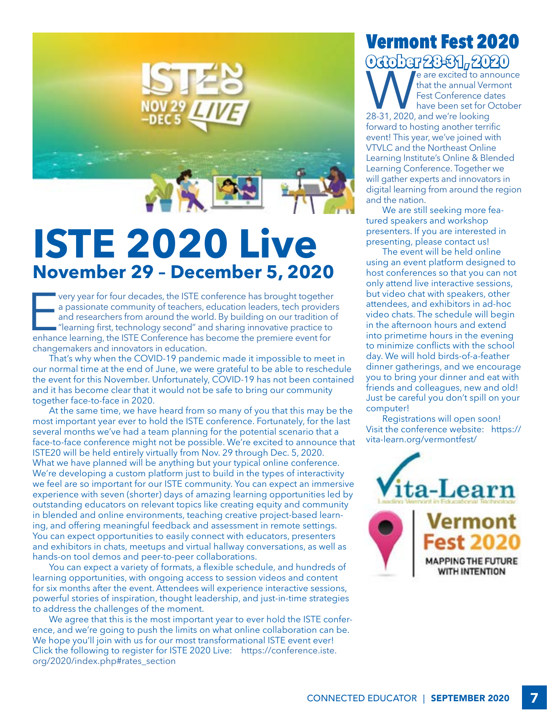

## **ISTE 2020 Live November 29 – December 5, 2020**

very year for four decades, the ISTE conference has brought together<br>a passionate community of teachers, education leaders, tech provide<br>and researchers from around the world. By building on our tradition of<br>"learning firs very year for four decades, the ISTE conference has brought together a passionate community of teachers, education leaders, tech providers and researchers from around the world. By building on our tradition of "learning first, technology second" and sharing innovative practice to changemakers and innovators in education.

That's why when the COVID-19 pandemic made it impossible to meet in our normal time at the end of June, we were grateful to be able to reschedule the event for this November. Unfortunately, COVID-19 has not been contained and it has become clear that it would not be safe to bring our community together face-to-face in 2020.

At the same time, we have heard from so many of you that this may be the most important year ever to hold the ISTE conference. Fortunately, for the last several months we've had a team planning for the potential scenario that a face-to-face conference might not be possible. We're excited to announce that ISTE20 will be held entirely virtually from Nov. 29 through Dec. 5, 2020. What we have planned will be anything but your typical online conference. We're developing a custom platform just to build in the types of interactivity we feel are so important for our ISTE community. You can expect an immersive experience with seven (shorter) days of amazing learning opportunities led by outstanding educators on relevant topics like creating equity and community in blended and online environments, teaching creative project-based learning, and offering meaningful feedback and assessment in remote settings. You can expect opportunities to easily connect with educators, presenters and exhibitors in chats, meetups and virtual hallway conversations, as well as hands-on tool demos and peer-to-peer collaborations.

You can expect a variety of formats, a flexible schedule, and hundreds of learning opportunities, with ongoing access to session videos and content for six months after the event. Attendees will experience interactive sessions, powerful stories of inspiration, thought leadership, and just-in-time strategies to address the challenges of the moment.

We agree that this is the most important year to ever hold the ISTE conference, and we're going to push the limits on what online collaboration can be. We hope you'll join with us for our most transformational ISTE event ever! Click the following to register for ISTE 2020 Live: [https://conference.iste.](https://conference.iste.org/2020/index.php#rates_section) [org/2020/index.php#rates\\_section](https://conference.iste.org/2020/index.php#rates_section)

## Vermont Fest 2020  $\mathbf{O}$ Grober  $29-31, 2020$

We are excited to announce<br>that the annual Vermont<br>Fest Conference dates<br>28-31, 2020, and we're looking that the annual Vermont Fest Conference dates have been set for October forward to hosting another terrific event! This year, we've joined with VTVLC and the Northeast Online Learning Institute's Online & Blended Learning Conference. Together we will gather experts and innovators in digital learning from around the region and the nation.

We are still seeking more featured speakers and workshop presenters. If you are interested in presenting, please contact us!

The event will be held online using an event platform designed to host conferences so that you can not only attend live interactive sessions, but video chat with speakers, other attendees, and exhibitors in ad-hoc video chats. The schedule will begin in the afternoon hours and extend into primetime hours in the evening to minimize conflicts with the school day. We will hold birds-of-a-feather dinner gatherings, and we encourage you to bring your dinner and eat with friends and colleagues, new and old! Just be careful you don't spill on your computer!

Registrations will open soon! Visit the conference website: https:// vita-learn.org/vermontfest/

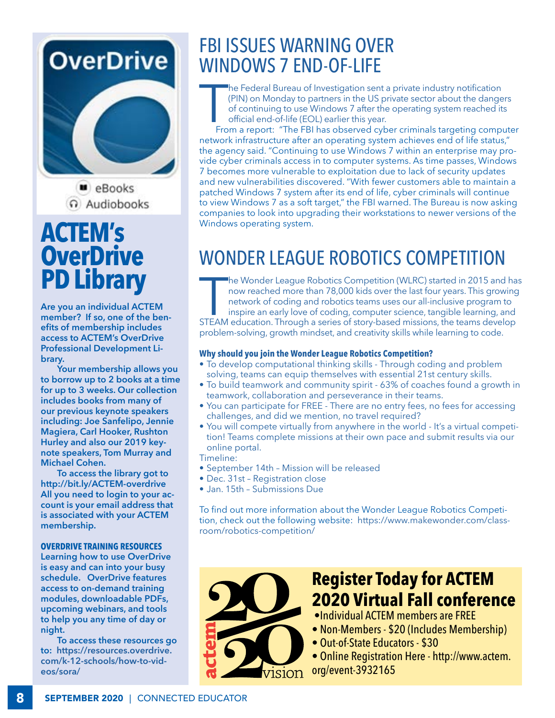## **OverDrive**



**u** eBooks ດ Audiobooks

## **ACTEM's OverDrive PD Library**

**Are you an individual ACTEM member? If so, one of the benefits of membership includes access to ACTEM's OverDrive Professional Development Library.** 

**Your membership allows you to borrow up to 2 books at a time for up to 3 weeks. Our collection includes books from many of our previous keynote speakers including: Joe Sanfelipo, Jennie Magiera, Carl Hooker, Rushton Hurley and also our 2019 keynote speakers, Tom Murray and Michael Cohen.**

**To access the library got to http://bit.ly/ACTEM-overdrive All you need to login to your account is your email address that is associated with your ACTEM membership.** 

#### **OVERDRIVE TRAINING RESOURCES**

**Learning how to use OverDrive is easy and can into your busy schedule. OverDrive features access to on-demand training modules, downloadable PDFs, upcoming webinars, and tools to help you any time of day or night.** 

**To access these resources go to: [https://resources.overdrive.](https://resources.overdrive.com/k-12-schools/how-to-videos/sora/) [com/k-12-schools/how-to-vid](https://resources.overdrive.com/k-12-schools/how-to-videos/sora/)[eos/sora/](https://resources.overdrive.com/k-12-schools/how-to-videos/sora/)** 

## FBI ISSUES WARNING OVER WINDOWS 7 END-OF-LIFE

he Federal Bureau of Investigation sent a private industry notification (PIN) on Monday to partners in the US private sector about the dangers of continuing to use Windows 7 after the operating system reached its official end-of-life (EOL) earlier this year.

 $\begin{array}{c} \hline \ \hline \end{array}$  Fro From a report: "The FBI has observed cyber criminals targeting computer network infrastructure after an operating system achieves end of life status," the agency said. "Continuing to use Windows 7 within an enterprise may provide cyber criminals access in to computer systems. As time passes, Windows 7 becomes more vulnerable to exploitation due to lack of security updates and new vulnerabilities discovered. "With fewer customers able to maintain a patched Windows 7 system after its end of life, cyber criminals will continue to view Windows 7 as a soft target," the FBI warned. The Bureau is now asking companies to look into upgrading their workstations to newer versions of the Windows operating system.

## WONDER LEAGUE ROBOTICS COMPETITION

The Wonder League Robotics Competition (WLRC) started in 2015 and ha<br>now reached more than 78,000 kids over the last four years. This growing<br>network of coding and robotics teams uses our all-inclusive program to<br>inspire a he Wonder League Robotics Competition (WLRC) started in 2015 and has now reached more than 78,000 kids over the last four years. This growing network of coding and robotics teams uses our all-inclusive program to inspire an early love of coding, computer science, tangible learning, and

problem-solving, growth mindset, and creativity skills while learning to code.

#### **Why should you join the Wonder League Robotics Competition?**

- To develop computational thinking skills Through coding and problem solving, teams can equip themselves with essential 21st century skills.
- To build teamwork and community spirit 63% of coaches found a growth in teamwork, collaboration and perseverance in their teams.
- You can participate for FREE There are no entry fees, no fees for accessing challenges, and did we mention, no travel required?
- You will compete virtually from anywhere in the world It's a virtual competition! Teams complete missions at their own pace and submit results via our online portal.
- Timeline:
- September 14th Mission will be released
- Dec. 31st Registration close
- Jan. 15th Submissions Due

To find out more information about the Wonder League Robotics Competition, check out the following website: [https://www.makewonder.com/class](https://www.makewonder.com/classroom/robotics-competition/)[room/robotics-competition/](https://www.makewonder.com/classroom/robotics-competition/)



## **Register Today for ACTEM 2020 Virtual Fall conference**

- •Individual ACTEM members are FREE
- Non-Members \$20 (Includes Membership)
- Out-of-State Educators \$30

• Online Registration Here - [http://www.actem.](http://www.actem.org/event-3932165) [org/event-3932165](http://www.actem.org/event-3932165)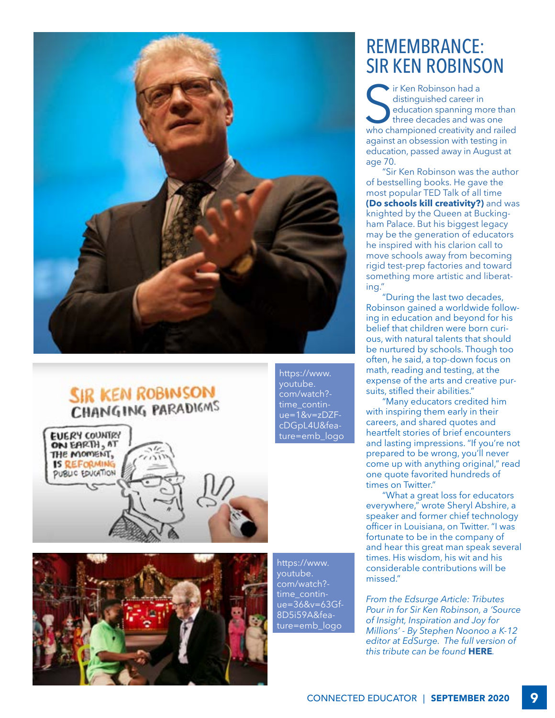

### **SIR KEN ROBINSON CHANGING PARADIGMS**





[youtube.](https://www.youtube.com/watch?time_continue=1&v=zDZFcDGpL4U&feature=emb_logo) [com/watch?](https://www.youtube.com/watch?time_continue=1&v=zDZFcDGpL4U&feature=emb_logo) [time\\_contin](https://www.youtube.com/watch?time_continue=1&v=zDZFcDGpL4U&feature=emb_logo)[ue=1&v=zDZF](https://www.youtube.com/watch?time_continue=1&v=zDZFcDGpL4U&feature=emb_logo)[cDGpL4U&fea](https://www.youtube.com/watch?time_continue=1&v=zDZFcDGpL4U&feature=emb_logo)[ture=emb\\_logo](https://www.youtube.com/watch?time_continue=1&v=zDZFcDGpL4U&feature=emb_logo)

[https://www.](https://www.youtube.com/watch?time_continue=36&v=63Gf8D5i59A&feature=emb_logo) [youtube.](https://www.youtube.com/watch?time_continue=36&v=63Gf8D5i59A&feature=emb_logo) [com/watch?](https://www.youtube.com/watch?time_continue=36&v=63Gf8D5i59A&feature=emb_logo) [time\\_contin](https://www.youtube.com/watch?time_continue=36&v=63Gf8D5i59A&feature=emb_logo)[ue=36&v=63Gf-](https://www.youtube.com/watch?time_continue=36&v=63Gf8D5i59A&feature=emb_logo)[8D5i59A&fea](https://www.youtube.com/watch?time_continue=36&v=63Gf8D5i59A&feature=emb_logo)[ture=emb\\_logo](https://www.youtube.com/watch?time_continue=36&v=63Gf8D5i59A&feature=emb_logo)

[https://www.](https://www.youtube.com/watch?time_continue=1&v=zDZFcDGpL4U&feature=emb_logo)

## REMEMBRANCE: SIR KEN ROBINSON

Find School and a distinguished career in<br>
education spanning more than<br>
three decades and was one<br>
who championed creativity and railed ir Ken Robinson had a distinguished career in education spanning more than three decades and was one against an obsession with testing in education, passed away in August at age 70.

"Sir Ken Robinson was the author of bestselling books. He gave the most popular TED Talk of all time **[\(Do schools kill creativity?\)](https://www.youtube.com/watch?v=iG9CE55wbtY)** and was knighted by the Queen at Buckingham Palace. But his biggest legacy may be the generation of educators he inspired with his clarion call to move schools away from becoming rigid test-prep factories and toward something more artistic and liberating."

"During the last two decades, Robinson gained a worldwide following in education and beyond for his belief that children were born curious, with natural talents that should be nurtured by schools. Though too often, he said, a top-down focus on math, reading and testing, at the expense of the arts and creative pursuits, stifled their abilities."

"Many educators credited him with inspiring them early in their careers, and shared quotes and heartfelt stories of brief encounters and lasting impressions. "If you're not prepared to be wrong, you'll never come up with anything original," read one quote favorited hundreds of times on Twitter."

"What a great loss for educators everywhere," wrote Sheryl Abshire, a speaker and former chief technology officer in Louisiana, on Twitter. "I was fortunate to be in the company of and hear this great man speak several times. His wisdom, his wit and his considerable contributions will be missed."

*From the Edsurge Article: Tributes Pour in for Sir Ken Robinson, a 'Source of Insight, Inspiration and Joy for Millions' - By Stephen Noonoo a K-12 editor at EdSurge. The full version of this tribute can be found* **[HERE](https://www.edsurge.com/news/2020-08-23-tributes-pour-in-for-sir-ken-robinson-a-source-of-insight-inspiration-and-joy-for-millions?fbclid=IwAR2eeZKyw0RFTmWEEpDKej6gtwN08p5HMr_NrfKWI89n0ivfeLTX_fWAFh8&utm_source=EdSurgeInnovate&utm_medium=email&utm_campaign=08-26-20&mkt_tok=eyJpIjoiTUdRMU9USmtOakF4TVRFMiIsInQiOiJJM1k0WnlJM1BRclcwWVRoM2hzZ1gwXC9ublAra29ORFR4QTRcL2d4cnUxYVJcLzNCNW1nT3M2dU9nalhhZGk5OTBqb2lkZ3lOMEdcL1U0V2F1ODQ3VXpGak9IclJVblo3eHNUSTFldmlvR1wva1NUVUNoZ0ZNelJhR3c1R1REU0srT0w2In0%3D)***.*

CONNECTED EDUCATOR | SEPTEMBER 2020 9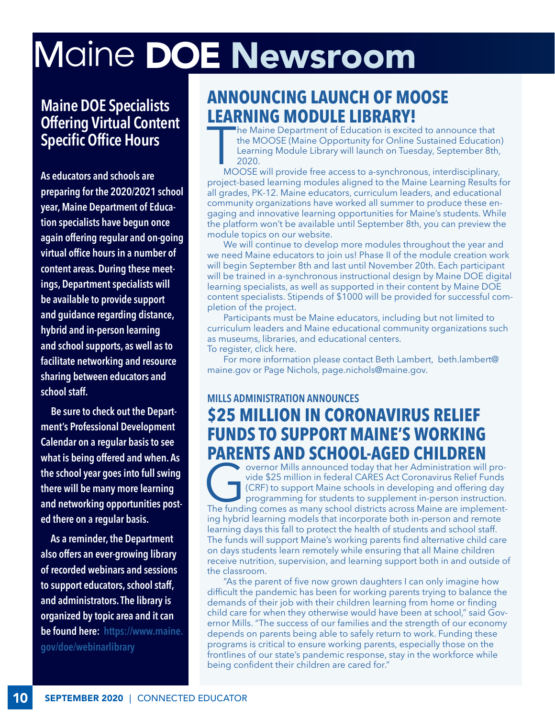# Maine DOE Newsroom

**Maine DOE Specialists Offering Virtual Content Specific Office Hours**

**As educators and schools are preparing for the 2020/2021 school year, Maine Department of Education specialists have begun once again offering regular and on-going virtual office hours in a number of content areas. During these meetings, Department specialists will be available to provide support and guidance regarding distance, hybrid and in-person learning and school supports, as well as to facilitate networking and resource sharing between educators and school staff.**

 **Be sure to check out the Department's Professional Development Calendar on a regular basis to see what is being offered and when. As the school year goes into full swing there will be many more learning and networking opportunities posted there on a regular basis.**

 **As a reminder, the Department also offers an ever-growing library of recorded webinars and sessions to support educators, school staff, and administrators. The library is organized by topic area and it can be found here: [https://www.maine.](https://www.maine.gov/doe/webinarlibrary) [gov/doe/webinarlibrary](https://www.maine.gov/doe/webinarlibrary)**

### **ANNOUNCING LAUNCH OF MOOSE LEARNING MODULE LIBRARY!**

 $\begin{array}{c} \hline \ \hline \ \hline \end{array}$ he Maine Department of Education is excited to announce that the MOOSE (Maine Opportunity for Online Sustained Education) Learning Module Library will launch on Tuesday, September 8th, 2020.

MOOSE will provide free access to a-synchronous, interdisciplinary, project-based learning modules aligned to the Maine Learning Results for all grades, PK-12. Maine educators, curriculum leaders, and educational community organizations have worked all summer to produce these engaging and innovative learning opportunities for Maine's students. While the platform won't be available until September 8th, you can preview the module topics on our website.

We will continue to develop more modules throughout the year and we need Maine educators to join us! Phase II of the module creation work will begin September 8th and last until November 20th. Each participant will be trained in a-synchronous instructional design by Maine DOE digital learning specialists, as well as supported in their content by Maine DOE content specialists. Stipends of \$1000 will be provided for successful completion of the project.

Participants must be Maine educators, including but not limited to curriculum leaders and Maine educational community organizations such as museums, libraries, and educational centers. To register, click here.

For more information please contact Beth Lambert, [beth.lambert@](beth.lambert@maine.gov) [maine.gov](beth.lambert@maine.gov) or Page Nichols, <page.nichols@maine.gov.>

### **MILLS ADMINISTRATION ANNOUNCES \$25 MILLION IN CORONAVIRUS RELIEF FUNDS TO SUPPORT MAINE'S WORKING PARENTS AND SCHOOL-AGED CHILDREN**<br>overnor Mills announced today that her Administration will pro-

Overnor Mills announced today that her Administration will provide \$25 million in federal CARES Act Coronavirus Relief Funds<br>
(CRF) to support Maine schools in developing and offering day<br>
programming for students to suppl vide \$25 million in federal CARES Act Coronavirus Relief Funds (CRF) to support Maine schools in developing and offering day programming for students to supplement in-person instruction. ing hybrid learning models that incorporate both in-person and remote learning days this fall to protect the health of students and school staff. The funds will support Maine's working parents find alternative child care on days students learn remotely while ensuring that all Maine children receive nutrition, supervision, and learning support both in and outside of the classroom.

"As the parent of five now grown daughters I can only imagine how difficult the pandemic has been for working parents trying to balance the demands of their job with their children learning from home or finding child care for when they otherwise would have been at school," said Governor Mills. "The success of our families and the strength of our economy depends on parents being able to safely return to work. Funding these programs is critical to ensure working parents, especially those on the frontlines of our state's pandemic response, stay in the workforce while being confident their children are cared for."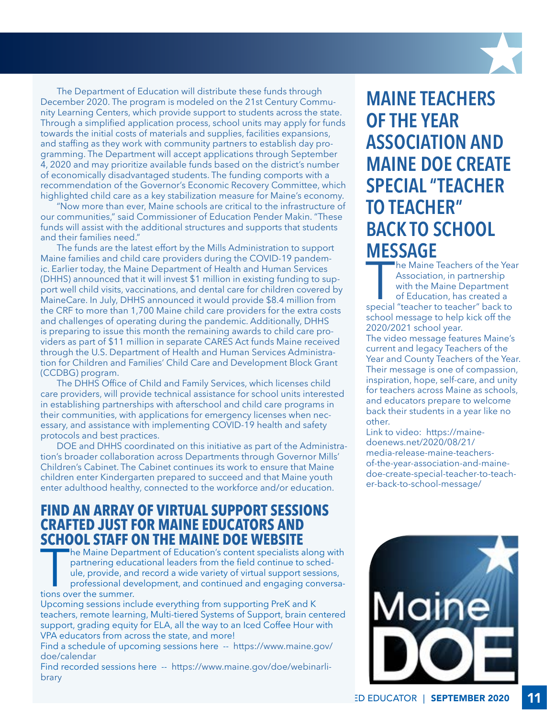The Department of Education will distribute these funds through December 2020. The program is modeled on the 21st Century Community Learning Centers, which provide support to students across the state. Through a simplified application process, school units may apply for funds towards the initial costs of materials and supplies, facilities expansions, and staffing as they work with community partners to establish day programming. The Department will accept applications through September 4, 2020 and may prioritize available funds based on the district's number of economically disadvantaged students. The funding comports with a recommendation of the Governor's Economic Recovery Committee, which highlighted child care as a key stabilization measure for Maine's economy.

"Now more than ever, Maine schools are critical to the infrastructure of our communities," said Commissioner of Education Pender Makin. "These funds will assist with the additional structures and supports that students and their families need."

The funds are the latest effort by the Mills Administration to support Maine families and child care providers during the COVID-19 pandemic. Earlier today, the Maine Department of Health and Human Services (DHHS) announced that it will invest \$1 million in existing funding to support well child visits, vaccinations, and dental care for children covered by MaineCare. In July, DHHS announced it would provide \$8.4 million from the CRF to more than 1,700 Maine child care providers for the extra costs and challenges of operating during the pandemic. Additionally, DHHS is preparing to issue this month the remaining awards to child care providers as part of \$11 million in separate CARES Act funds Maine received through the U.S. Department of Health and Human Services Administration for Children and Families' Child Care and Development Block Grant (CCDBG) program.

The DHHS Office of Child and Family Services, which licenses child care providers, will provide technical assistance for school units interested in establishing partnerships with afterschool and child care programs in their communities, with applications for emergency licenses when necessary, and assistance with implementing COVID-19 health and safety protocols and best practices.

DOE and DHHS coordinated on this initiative as part of the Administration's broader collaboration across Departments through Governor Mills' Children's Cabinet. The Cabinet continues its work to ensure that Maine children enter Kindergarten prepared to succeed and that Maine youth enter adulthood healthy, connected to the workforce and/or education.

### **FIND AN ARRAY OF VIRTUAL SUPPORT SESSIONS CRAFTED JUST FOR MAINE EDUCATORS AND SCHOOL STAFF ON THE MAINE DOE WEBSITE**

The Maine Depart<br>
partnering educe<br>
ule, provide, and<br>
professional de<br>
tions over the summer. he Maine Department of Education's content specialists along with partnering educational leaders from the field continue to schedule, provide, and record a wide variety of virtual support sessions, professional development, and continued and engaging conversa-

Upcoming sessions include everything from supporting PreK and K teachers, remote learning, Multi-tiered Systems of Support, brain centered support, grading equity for ELA, all the way to an Iced Coffee Hour with VPA educators from across the state, and more!

Find a schedule of upcoming sessions here -- [https://www.maine.gov/](https://www.maine.gov/doe/calendar
) [doe/calendar](https://www.maine.gov/doe/calendar
)

Find recorded sessions here -- [https://www.maine.gov/doe/webinarli](https://www.maine.gov/doe/webinarlibrary)[brary](https://www.maine.gov/doe/webinarlibrary)

**MAINE TEACHERS OF THE YEAR ASSOCIATION AND MAINE DOE CREATE SPECIAL "TEACHER TO TEACHER" BACK TO SCHOOL MESSAGE**

The Maine Teachers of the Yea<br>Association, in partnership<br>with the Maine Department<br>of Education, has created a<br>special "teacher to teacher" back to he Maine Teachers of the Year Association, in partnership with the Maine Department of Education, has created a school message to help kick off the 2020/2021 school year. The video message features Maine's current and legacy Teachers of the Year and County Teachers of the Year. Their message is one of compassion, inspiration, hope, self-care, and unity for teachers across Maine as schools, and educators prepare to welcome

back their students in a year like no other. Link to video: [https://maine-](https://mainedoenews.net/2020/08/21/media-release-maine-teachers-of-the-year-association-and-maine-doe-create-special-teacher-to-teacher-back-to-school-message/)

[doenews.net/2020/08/21/](https://mainedoenews.net/2020/08/21/media-release-maine-teachers-of-the-year-association-and-maine-doe-create-special-teacher-to-teacher-back-to-school-message/) [media-release-maine-teachers](https://mainedoenews.net/2020/08/21/media-release-maine-teachers-of-the-year-association-and-maine-doe-create-special-teacher-to-teacher-back-to-school-message/)[of-the-year-association-and-maine](https://mainedoenews.net/2020/08/21/media-release-maine-teachers-of-the-year-association-and-maine-doe-create-special-teacher-to-teacher-back-to-school-message/)[doe-create-special-teacher-to-teach](https://mainedoenews.net/2020/08/21/media-release-maine-teachers-of-the-year-association-and-maine-doe-create-special-teacher-to-teacher-back-to-school-message/)[er-back-to-school-message/](https://mainedoenews.net/2020/08/21/media-release-maine-teachers-of-the-year-association-and-maine-doe-create-special-teacher-to-teacher-back-to-school-message/)